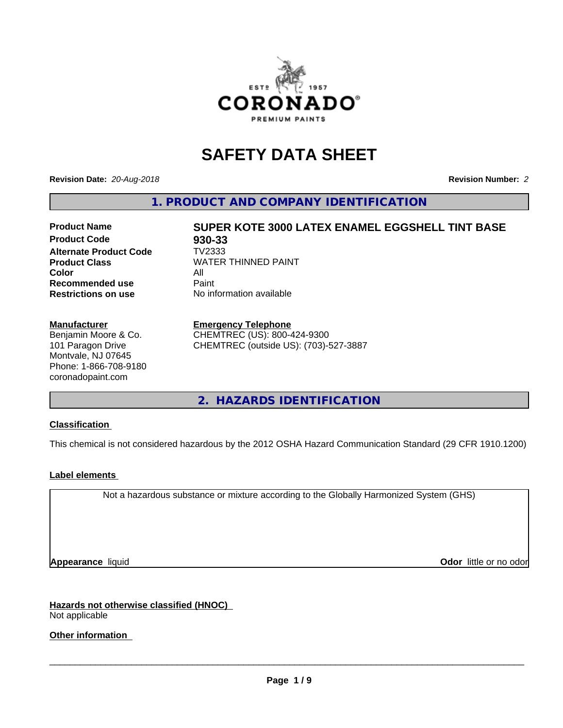

# **SAFETY DATA SHEET**

**Revision Date:** *20-Aug-2018* **Revision Number:** *2*

**1. PRODUCT AND COMPANY IDENTIFICATION**

# **Product Name SUPER KOTE 3000 LATEX ENAMEL EGGSHELL TINT BASE**

**Product Code 68 930-33**<br>**Alternate Product Code 68 7V2333 Alternate Product Code Color** All All<br>**Recommended use** Paint **Recommended use Restrictions on use** No information available

**Product Class WATER THINNED PAINT** 

### **Manufacturer**

Benjamin Moore & Co. 101 Paragon Drive Montvale, NJ 07645 Phone: 1-866-708-9180 coronadopaint.com

### **Emergency Telephone**

CHEMTREC (US): 800-424-9300 CHEMTREC (outside US): (703)-527-3887

**2. HAZARDS IDENTIFICATION**

### **Classification**

This chemical is not considered hazardous by the 2012 OSHA Hazard Communication Standard (29 CFR 1910.1200)

### **Label elements**

Not a hazardous substance or mixture according to the Globally Harmonized System (GHS)

**Appearance** liquid **Contract Contract Contract Contract Contract Contract Contract Contract Contract Contract Contract Contract Contract Contract Contract Contract Contract Contract Contract Contract Contract Contract Con** 

**Hazards not otherwise classified (HNOC)** Not applicable

**Other information**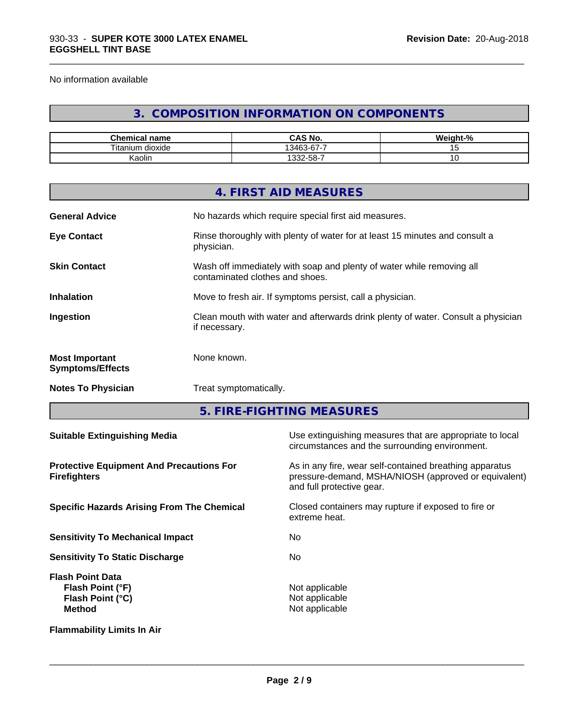No information available

# **3. COMPOSITION INFORMATION ON COMPONENTS**

\_\_\_\_\_\_\_\_\_\_\_\_\_\_\_\_\_\_\_\_\_\_\_\_\_\_\_\_\_\_\_\_\_\_\_\_\_\_\_\_\_\_\_\_\_\_\_\_\_\_\_\_\_\_\_\_\_\_\_\_\_\_\_\_\_\_\_\_\_\_\_\_\_\_\_\_\_\_\_\_\_\_\_\_\_\_\_\_\_\_\_\_\_

| $\mathbf{a}$<br>$-$<br>name<br>nemical | $\sim$ 11<br>$\mathbf{L}$<br>CAS No.               | .<br>- 70 |
|----------------------------------------|----------------------------------------------------|-----------|
| $- -$<br>l itan<br>dioxide<br>um       | --<br>$\sim$<br>$\sim$<br>$\overline{\phantom{0}}$ |           |
| . .<br>Kaolin                          | 32-58-7، ن                                         | ັ         |

|                                                  | 4. FIRST AID MEASURES                                                                                    |
|--------------------------------------------------|----------------------------------------------------------------------------------------------------------|
| <b>General Advice</b>                            | No hazards which require special first aid measures.                                                     |
| <b>Eye Contact</b>                               | Rinse thoroughly with plenty of water for at least 15 minutes and consult a<br>physician.                |
| <b>Skin Contact</b>                              | Wash off immediately with soap and plenty of water while removing all<br>contaminated clothes and shoes. |
| <b>Inhalation</b>                                | Move to fresh air. If symptoms persist, call a physician.                                                |
| Ingestion                                        | Clean mouth with water and afterwards drink plenty of water. Consult a physician<br>if necessary.        |
| <b>Most Important</b><br><b>Symptoms/Effects</b> | None known.                                                                                              |
| <b>Notes To Physician</b>                        | Treat symptomatically.                                                                                   |
|                                                  |                                                                                                          |

**5. FIRE-FIGHTING MEASURES**

| <b>Suitable Extinguishing Media</b>                                              | Use extinguishing measures that are appropriate to local<br>circumstances and the surrounding environment.                                   |
|----------------------------------------------------------------------------------|----------------------------------------------------------------------------------------------------------------------------------------------|
| <b>Protective Equipment And Precautions For</b><br><b>Firefighters</b>           | As in any fire, wear self-contained breathing apparatus<br>pressure-demand, MSHA/NIOSH (approved or equivalent)<br>and full protective gear. |
| <b>Specific Hazards Arising From The Chemical</b>                                | Closed containers may rupture if exposed to fire or<br>extreme heat.                                                                         |
| <b>Sensitivity To Mechanical Impact</b>                                          | No.                                                                                                                                          |
| <b>Sensitivity To Static Discharge</b>                                           | No.                                                                                                                                          |
| <b>Flash Point Data</b><br>Flash Point (°F)<br>Flash Point (°C)<br><b>Method</b> | Not applicable<br>Not applicable<br>Not applicable                                                                                           |
| <b>Flammability Limits In Air</b>                                                |                                                                                                                                              |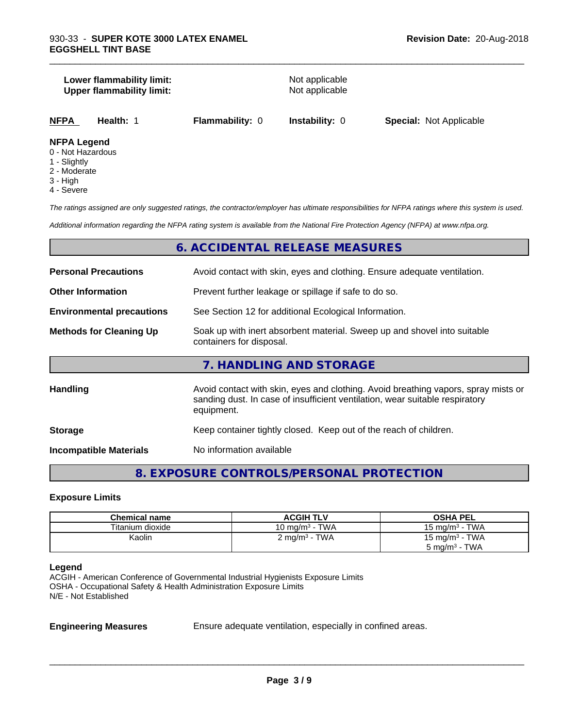### **Lower flammability limit:**<br> **Upper flammability limit:**<br>
Upper flammability limit:<br>
Not applicable **Upper flammability limit:**

\_\_\_\_\_\_\_\_\_\_\_\_\_\_\_\_\_\_\_\_\_\_\_\_\_\_\_\_\_\_\_\_\_\_\_\_\_\_\_\_\_\_\_\_\_\_\_\_\_\_\_\_\_\_\_\_\_\_\_\_\_\_\_\_\_\_\_\_\_\_\_\_\_\_\_\_\_\_\_\_\_\_\_\_\_\_\_\_\_\_\_\_\_

**NFPA Health:** 1 **Flammability:** 0 **Instability:** 0 **Special:** Not Applicable

### **NFPA Legend**

- 0 Not Hazardous
- 1 Slightly
- 2 Moderate
- 3 High
- 4 Severe

*The ratings assigned are only suggested ratings, the contractor/employer has ultimate responsibilities for NFPA ratings where this system is used.*

*Additional information regarding the NFPA rating system is available from the National Fire Protection Agency (NFPA) at www.nfpa.org.*

### **6. ACCIDENTAL RELEASE MEASURES**

| <b>Personal Precautions</b>      | Avoid contact with skin, eyes and clothing. Ensure adequate ventilation.                                                                                                         |  |
|----------------------------------|----------------------------------------------------------------------------------------------------------------------------------------------------------------------------------|--|
| <b>Other Information</b>         | Prevent further leakage or spillage if safe to do so.                                                                                                                            |  |
| <b>Environmental precautions</b> | See Section 12 for additional Ecological Information.                                                                                                                            |  |
| <b>Methods for Cleaning Up</b>   | Soak up with inert absorbent material. Sweep up and shovel into suitable<br>containers for disposal.                                                                             |  |
|                                  | 7. HANDLING AND STORAGE                                                                                                                                                          |  |
| Handling                         | Avoid contact with skin, eyes and clothing. Avoid breathing vapors, spray mists or<br>sanding dust. In case of insufficient ventilation, wear suitable respiratory<br>equipment. |  |
| <b>Storage</b>                   | Keep container tightly closed. Keep out of the reach of children.                                                                                                                |  |
| <b>Incompatible Materials</b>    | No information available                                                                                                                                                         |  |

# **8. EXPOSURE CONTROLS/PERSONAL PROTECTION**

### **Exposure Limits**

| <b>Chemical name</b> | <b>ACGIH TLV</b>          | <b>OSHA PEL</b>            |
|----------------------|---------------------------|----------------------------|
| Titanium dioxide     | 10 mg/m $3$ - TWA         | 15 mg/m $3$ - TWA          |
| Kaolin               | 2 mg/m <sup>3</sup> - TWA | 15 mg/m <sup>3</sup> - TWA |
|                      |                           | $5 \text{ mg/m}^3$ - TWA   |

### **Legend**

ACGIH - American Conference of Governmental Industrial Hygienists Exposure Limits OSHA - Occupational Safety & Health Administration Exposure Limits N/E - Not Established

**Engineering Measures** Ensure adequate ventilation, especially in confined areas.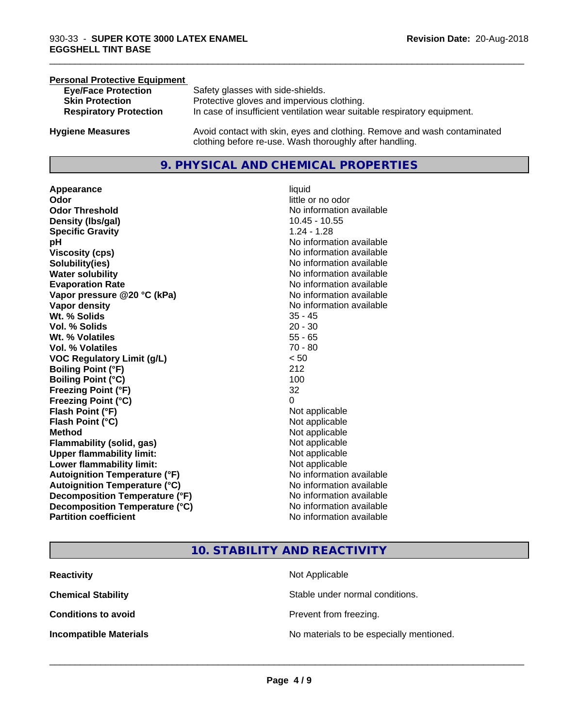### **Personal Protective Equipment**

| <b>Eye/Face Protection</b>    | Safety glasses with side-shields.                                        |
|-------------------------------|--------------------------------------------------------------------------|
| <b>Skin Protection</b>        | Protective gloves and impervious clothing.                               |
| <b>Respiratory Protection</b> | In case of insufficient ventilation wear suitable respiratory equipment. |
| <b>Hygiene Measures</b>       | Avoid contact with skin, eyes and clothing. Remove and wash contaminated |

clothing before re-use. Wash thoroughly after handling.

### **9. PHYSICAL AND CHEMICAL PROPERTIES**

**Appearance** liquid **Odor**<br> **Odor Threshold**<br> **Odor Threshold**<br> **CODOR**<br> **CODOR**<br> **CODOR**<br> **CODOR**<br> **CODOR**<br> **CODOR**<br> **CODOR**<br> **CODOR**<br> **CODOR**<br> **CODOR Density (Ibs/gal)** 10.45 - 10.55 **Specific Gravity** 1.24 - 1.28 **pH pH**  $\blacksquare$ **Viscosity (cps)** No information available **Solubility(ies)** No information available **Water solubility** No information available **Evaporation Rate No information available No information available Vapor pressure @20 °C (kPa)** No information available **Vapor density No information available No information available Wt. % Solids** 35 - 45 **Vol. % Solids** 20 - 30 **Wt. % Volatiles** 55 - 65 **Vol. % Volatiles** 70 - 80 **VOC Regulatory Limit (g/L)** < 50 **Boiling Point (°F)** 212 **Boiling Point**  $(°C)$  100 **Freezing Point (°F)** 32 **Freezing Point (°C)** 0 **Flash Point (°F)**<br> **Flash Point (°C)**<br> **Flash Point (°C)**<br> **Point (°C)**<br> **Point (°C)**<br> **Point (°C)**<br> **Point (°C)**<br> **Point (°C) Flash Point (°C) Method** Not applicable Not applicable **Flammability (solid, gas)** Not applicable **Upper flammability limit:** Not applicable **Lower flammability limit:** Not applicable **Autoignition Temperature (°F)** No information available **Autoignition Temperature (°C)**<br> **Decomposition Temperature (°F)** No information available **Decomposition Temperature (°F)** No information available<br> **Decomposition Temperature (°C)** No information available **Decomposition Temperature (°C) Partition coefficient Contract Contract Contract Contract Contract Contract Contract Contract Contract Contract Contract Contract Contract Contract Contract Contract Contract Contract Contract Contract Contract Contract** 

# **No information available**

\_\_\_\_\_\_\_\_\_\_\_\_\_\_\_\_\_\_\_\_\_\_\_\_\_\_\_\_\_\_\_\_\_\_\_\_\_\_\_\_\_\_\_\_\_\_\_\_\_\_\_\_\_\_\_\_\_\_\_\_\_\_\_\_\_\_\_\_\_\_\_\_\_\_\_\_\_\_\_\_\_\_\_\_\_\_\_\_\_\_\_\_\_

### **10. STABILITY AND REACTIVITY**

| <b>Reactivity</b>             | Not Applicable                           |
|-------------------------------|------------------------------------------|
| <b>Chemical Stability</b>     | Stable under normal conditions.          |
| <b>Conditions to avoid</b>    | Prevent from freezing.                   |
| <b>Incompatible Materials</b> | No materials to be especially mentioned. |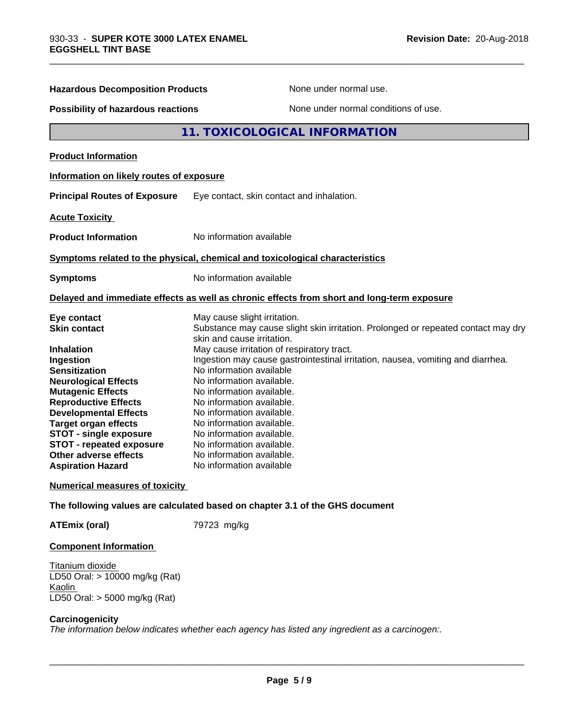| <b>Hazardous Decomposition Products</b>                                                                                                                                                                                                                                                                                                                                        | None under normal use.                                                                                                                                                                                                                                                                                                                                                                                                                                                                                                                                                           |
|--------------------------------------------------------------------------------------------------------------------------------------------------------------------------------------------------------------------------------------------------------------------------------------------------------------------------------------------------------------------------------|----------------------------------------------------------------------------------------------------------------------------------------------------------------------------------------------------------------------------------------------------------------------------------------------------------------------------------------------------------------------------------------------------------------------------------------------------------------------------------------------------------------------------------------------------------------------------------|
| Possibility of hazardous reactions                                                                                                                                                                                                                                                                                                                                             | None under normal conditions of use.                                                                                                                                                                                                                                                                                                                                                                                                                                                                                                                                             |
|                                                                                                                                                                                                                                                                                                                                                                                | <b>11. TOXICOLOGICAL INFORMATION</b>                                                                                                                                                                                                                                                                                                                                                                                                                                                                                                                                             |
| <b>Product Information</b>                                                                                                                                                                                                                                                                                                                                                     |                                                                                                                                                                                                                                                                                                                                                                                                                                                                                                                                                                                  |
| Information on likely routes of exposure                                                                                                                                                                                                                                                                                                                                       |                                                                                                                                                                                                                                                                                                                                                                                                                                                                                                                                                                                  |
| <b>Principal Routes of Exposure</b>                                                                                                                                                                                                                                                                                                                                            | Eye contact, skin contact and inhalation.                                                                                                                                                                                                                                                                                                                                                                                                                                                                                                                                        |
| <b>Acute Toxicity</b>                                                                                                                                                                                                                                                                                                                                                          |                                                                                                                                                                                                                                                                                                                                                                                                                                                                                                                                                                                  |
| <b>Product Information</b>                                                                                                                                                                                                                                                                                                                                                     | No information available                                                                                                                                                                                                                                                                                                                                                                                                                                                                                                                                                         |
|                                                                                                                                                                                                                                                                                                                                                                                | Symptoms related to the physical, chemical and toxicological characteristics                                                                                                                                                                                                                                                                                                                                                                                                                                                                                                     |
| <b>Symptoms</b>                                                                                                                                                                                                                                                                                                                                                                | No information available                                                                                                                                                                                                                                                                                                                                                                                                                                                                                                                                                         |
|                                                                                                                                                                                                                                                                                                                                                                                | Delayed and immediate effects as well as chronic effects from short and long-term exposure                                                                                                                                                                                                                                                                                                                                                                                                                                                                                       |
| Eye contact<br><b>Skin contact</b><br><b>Inhalation</b><br>Ingestion<br><b>Sensitization</b><br><b>Neurological Effects</b><br><b>Mutagenic Effects</b><br><b>Reproductive Effects</b><br><b>Developmental Effects</b><br><b>Target organ effects</b><br><b>STOT - single exposure</b><br><b>STOT - repeated exposure</b><br>Other adverse effects<br><b>Aspiration Hazard</b> | May cause slight irritation.<br>Substance may cause slight skin irritation. Prolonged or repeated contact may dry<br>skin and cause irritation.<br>May cause irritation of respiratory tract.<br>Ingestion may cause gastrointestinal irritation, nausea, vomiting and diarrhea.<br>No information available<br>No information available.<br>No information available.<br>No information available.<br>No information available.<br>No information available.<br>No information available.<br>No information available.<br>No information available.<br>No information available |
| <b>Numerical measures of toxicity</b>                                                                                                                                                                                                                                                                                                                                          |                                                                                                                                                                                                                                                                                                                                                                                                                                                                                                                                                                                  |
|                                                                                                                                                                                                                                                                                                                                                                                | The following values are calculated based on chapter 3.1 of the GHS document                                                                                                                                                                                                                                                                                                                                                                                                                                                                                                     |
| <b>ATEmix (oral)</b>                                                                                                                                                                                                                                                                                                                                                           | 79723 mg/kg                                                                                                                                                                                                                                                                                                                                                                                                                                                                                                                                                                      |
| <b>Component Information</b>                                                                                                                                                                                                                                                                                                                                                   |                                                                                                                                                                                                                                                                                                                                                                                                                                                                                                                                                                                  |

\_\_\_\_\_\_\_\_\_\_\_\_\_\_\_\_\_\_\_\_\_\_\_\_\_\_\_\_\_\_\_\_\_\_\_\_\_\_\_\_\_\_\_\_\_\_\_\_\_\_\_\_\_\_\_\_\_\_\_\_\_\_\_\_\_\_\_\_\_\_\_\_\_\_\_\_\_\_\_\_\_\_\_\_\_\_\_\_\_\_\_\_\_

Titanium dioxide LD50 Oral: > 10000 mg/kg (Rat) Kaolin LD50 Oral: > 5000 mg/kg (Rat)

### **Carcinogenicity**

*The information below indicateswhether each agency has listed any ingredient as a carcinogen:.*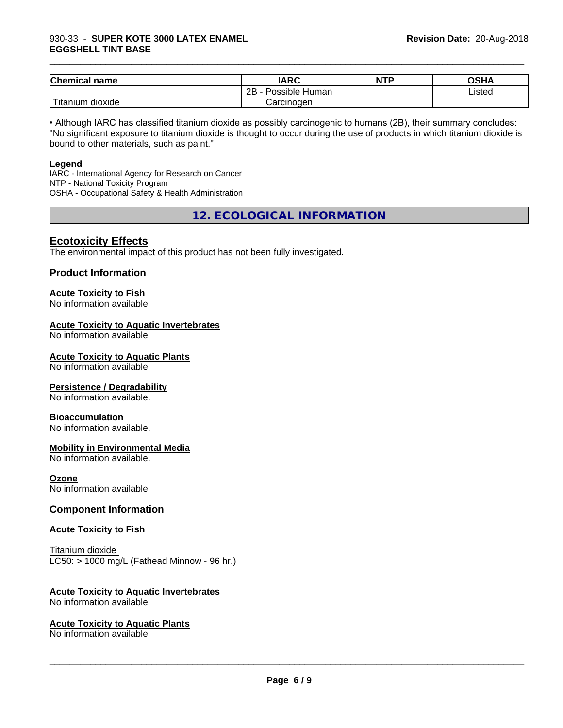### 930-33 - **SUPER KOTE 3000 LATEX ENAMEL EGGSHELL TINT BASE**

| <b>Chemical name</b>    | <b>IARC</b>               | <b>NTP</b> | OSHA   |
|-------------------------|---------------------------|------------|--------|
|                         | .<br>2B<br>Possible Human |            | Listed |
| ' Titanium .<br>dioxide | Carcinogen                |            |        |

\_\_\_\_\_\_\_\_\_\_\_\_\_\_\_\_\_\_\_\_\_\_\_\_\_\_\_\_\_\_\_\_\_\_\_\_\_\_\_\_\_\_\_\_\_\_\_\_\_\_\_\_\_\_\_\_\_\_\_\_\_\_\_\_\_\_\_\_\_\_\_\_\_\_\_\_\_\_\_\_\_\_\_\_\_\_\_\_\_\_\_\_\_

• Although IARC has classified titanium dioxide as possibly carcinogenic to humans (2B), their summary concludes: "No significant exposure to titanium dioxide is thought to occur during the use of products in which titanium dioxide is bound to other materials, such as paint."

### **Legend**

IARC - International Agency for Research on Cancer NTP - National Toxicity Program OSHA - Occupational Safety & Health Administration

**12. ECOLOGICAL INFORMATION**

### **Ecotoxicity Effects**

The environmental impact of this product has not been fully investigated.

### **Product Information**

# **Acute Toxicity to Fish**

No information available

### **Acute Toxicity to Aquatic Invertebrates**

No information available

### **Acute Toxicity to Aquatic Plants**

No information available

### **Persistence / Degradability**

No information available.

### **Bioaccumulation**

No information available.

### **Mobility in Environmental Media**

No information available.

### **Ozone**

No information available

### **Component Information**

### **Acute Toxicity to Fish**

Titanium dioxide  $LC50:$  > 1000 mg/L (Fathead Minnow - 96 hr.)

### **Acute Toxicity to Aquatic Invertebrates**

No information available

### **Acute Toxicity to Aquatic Plants**

No information available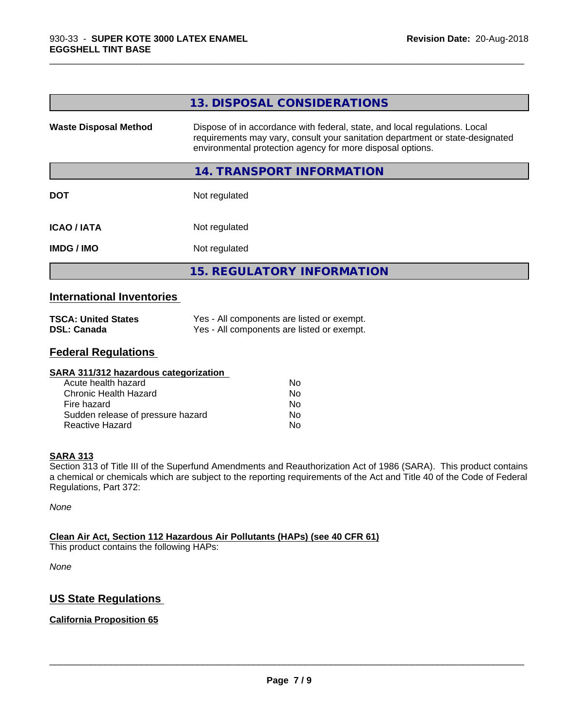|                              | 13. DISPOSAL CONSIDERATIONS                                                                                                                                                                                               |
|------------------------------|---------------------------------------------------------------------------------------------------------------------------------------------------------------------------------------------------------------------------|
| <b>Waste Disposal Method</b> | Dispose of in accordance with federal, state, and local regulations. Local<br>requirements may vary, consult your sanitation department or state-designated<br>environmental protection agency for more disposal options. |
|                              | 14. TRANSPORT INFORMATION                                                                                                                                                                                                 |
| <b>DOT</b>                   | Not regulated                                                                                                                                                                                                             |
| <b>ICAO / IATA</b>           | Not regulated                                                                                                                                                                                                             |
| <b>IMDG/IMO</b>              | Not regulated                                                                                                                                                                                                             |
|                              | <b>15. REGULATORY INFORMATION</b>                                                                                                                                                                                         |

\_\_\_\_\_\_\_\_\_\_\_\_\_\_\_\_\_\_\_\_\_\_\_\_\_\_\_\_\_\_\_\_\_\_\_\_\_\_\_\_\_\_\_\_\_\_\_\_\_\_\_\_\_\_\_\_\_\_\_\_\_\_\_\_\_\_\_\_\_\_\_\_\_\_\_\_\_\_\_\_\_\_\_\_\_\_\_\_\_\_\_\_\_

### **International Inventories**

| <b>TSCA: United States</b> | Yes - All components are listed or exempt. |
|----------------------------|--------------------------------------------|
| <b>DSL: Canada</b>         | Yes - All components are listed or exempt. |

# **Federal Regulations**

| SARA 311/312 hazardous categorization |    |  |
|---------------------------------------|----|--|
| Acute health hazard                   | Nο |  |
| Chronic Health Hazard                 | No |  |
| Fire hazard                           | No |  |
| Sudden release of pressure hazard     | No |  |
| Reactive Hazard                       | No |  |

### **SARA 313**

Section 313 of Title III of the Superfund Amendments and Reauthorization Act of 1986 (SARA). This product contains a chemical or chemicals which are subject to the reporting requirements of the Act and Title 40 of the Code of Federal Regulations, Part 372:

*None*

### **Clean Air Act,Section 112 Hazardous Air Pollutants (HAPs) (see 40 CFR 61)**

This product contains the following HAPs:

*None*

# **US State Regulations**

### **California Proposition 65**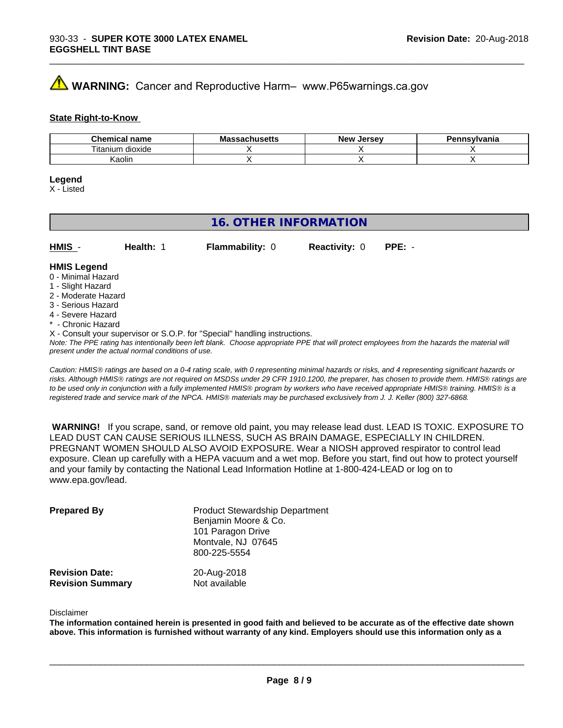# **AVIMARNING:** Cancer and Reproductive Harm– www.P65warnings.ca.gov

### **State Right-to-Know**

| Chemical<br>name      | M۰<br>.eheett<br>No<br>⊶atiluscus | <b>Jersev</b><br><b>Nev</b> | Pennsvlvania |
|-----------------------|-----------------------------------|-----------------------------|--------------|
| ⊦dioxide<br>l itanium |                                   |                             |              |
| Kaolin                |                                   |                             |              |

\_\_\_\_\_\_\_\_\_\_\_\_\_\_\_\_\_\_\_\_\_\_\_\_\_\_\_\_\_\_\_\_\_\_\_\_\_\_\_\_\_\_\_\_\_\_\_\_\_\_\_\_\_\_\_\_\_\_\_\_\_\_\_\_\_\_\_\_\_\_\_\_\_\_\_\_\_\_\_\_\_\_\_\_\_\_\_\_\_\_\_\_\_

### **Legend**

X - Listed

# **16. OTHER INFORMATION**

| $HMIS -$           | Health: | <b>Flammability: 0</b> | <b>Reactivity: 0</b> | $PPE: -$ |
|--------------------|---------|------------------------|----------------------|----------|
| <b>HMIS Legend</b> |         |                        |                      |          |

### 0 - Minimal Hazard

- 1 Slight Hazard
- 2 Moderate Hazard
- 3 Serious Hazard
- 4 Severe Hazard
- \* Chronic Hazard
- X Consult your supervisor or S.O.P. for "Special" handling instructions.

*Note: The PPE rating has intentionally been left blank. Choose appropriate PPE that will protect employees from the hazards the material will present under the actual normal conditions of use.*

*Caution: HMISÒ ratings are based on a 0-4 rating scale, with 0 representing minimal hazards or risks, and 4 representing significant hazards or risks. Although HMISÒ ratings are not required on MSDSs under 29 CFR 1910.1200, the preparer, has chosen to provide them. HMISÒ ratings are to be used only in conjunction with a fully implemented HMISÒ program by workers who have received appropriate HMISÒ training. HMISÒ is a registered trade and service mark of the NPCA. HMISÒ materials may be purchased exclusively from J. J. Keller (800) 327-6868.*

 **WARNING!** If you scrape, sand, or remove old paint, you may release lead dust. LEAD IS TOXIC. EXPOSURE TO LEAD DUST CAN CAUSE SERIOUS ILLNESS, SUCH AS BRAIN DAMAGE, ESPECIALLY IN CHILDREN. PREGNANT WOMEN SHOULD ALSO AVOID EXPOSURE.Wear a NIOSH approved respirator to control lead exposure. Clean up carefully with a HEPA vacuum and a wet mop. Before you start, find out how to protect yourself and your family by contacting the National Lead Information Hotline at 1-800-424-LEAD or log on to www.epa.gov/lead.

| <b>Prepared By</b>                               | <b>Product Stewardship Department</b><br>Benjamin Moore & Co.<br>101 Paragon Drive<br>Montvale, NJ 07645<br>800-225-5554 |  |
|--------------------------------------------------|--------------------------------------------------------------------------------------------------------------------------|--|
| <b>Revision Date:</b><br><b>Revision Summary</b> | 20-Aug-2018<br>Not available                                                                                             |  |

### Disclaimer

The information contained herein is presented in good faith and believed to be accurate as of the effective date shown above. This information is furnished without warranty of any kind. Employers should use this information only as a